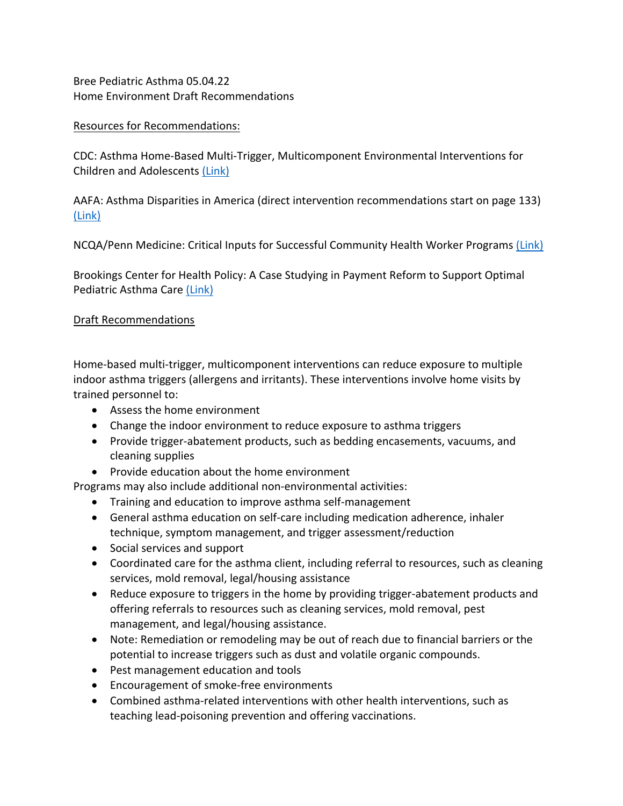Bree Pediatric Asthma 05.04.22 Home Environment Draft Recommendations

## Resources for Recommendations:

CDC: Asthma Home-Based Multi-Trigger, Multicomponent Environmental Interventions for Children and Adolescents (Link)

AAFA: Asthma Disparities in America (direct intervention recommendations start on page 133) (Link)

NCQA/Penn Medicine: Critical Inputs for Successful Community Health Worker Programs (Link)

Brookings Center for Health Policy: A Case Studying in Payment Reform to Support Optimal Pediatric Asthma Care (Link)

## Draft Recommendations

Home-based multi-trigger, multicomponent interventions can reduce exposure to multiple indoor asthma triggers (allergens and irritants). These interventions involve home visits by trained personnel to:

- Assess the home environment
- Change the indoor environment to reduce exposure to asthma triggers
- Provide trigger-abatement products, such as bedding encasements, vacuums, and cleaning supplies
- Provide education about the home environment

Programs may also include additional non-environmental activities:

- Training and education to improve asthma self-management
- General asthma education on self-care including medication adherence, inhaler technique, symptom management, and trigger assessment/reduction
- Social services and support
- Coordinated care for the asthma client, including referral to resources, such as cleaning services, mold removal, legal/housing assistance
- Reduce exposure to triggers in the home by providing trigger-abatement products and offering referrals to resources such as cleaning services, mold removal, pest management, and legal/housing assistance.
- Note: Remediation or remodeling may be out of reach due to financial barriers or the potential to increase triggers such as dust and volatile organic compounds.
- Pest management education and tools
- Encouragement of smoke-free environments
- Combined asthma-related interventions with other health interventions, such as teaching lead-poisoning prevention and offering vaccinations.